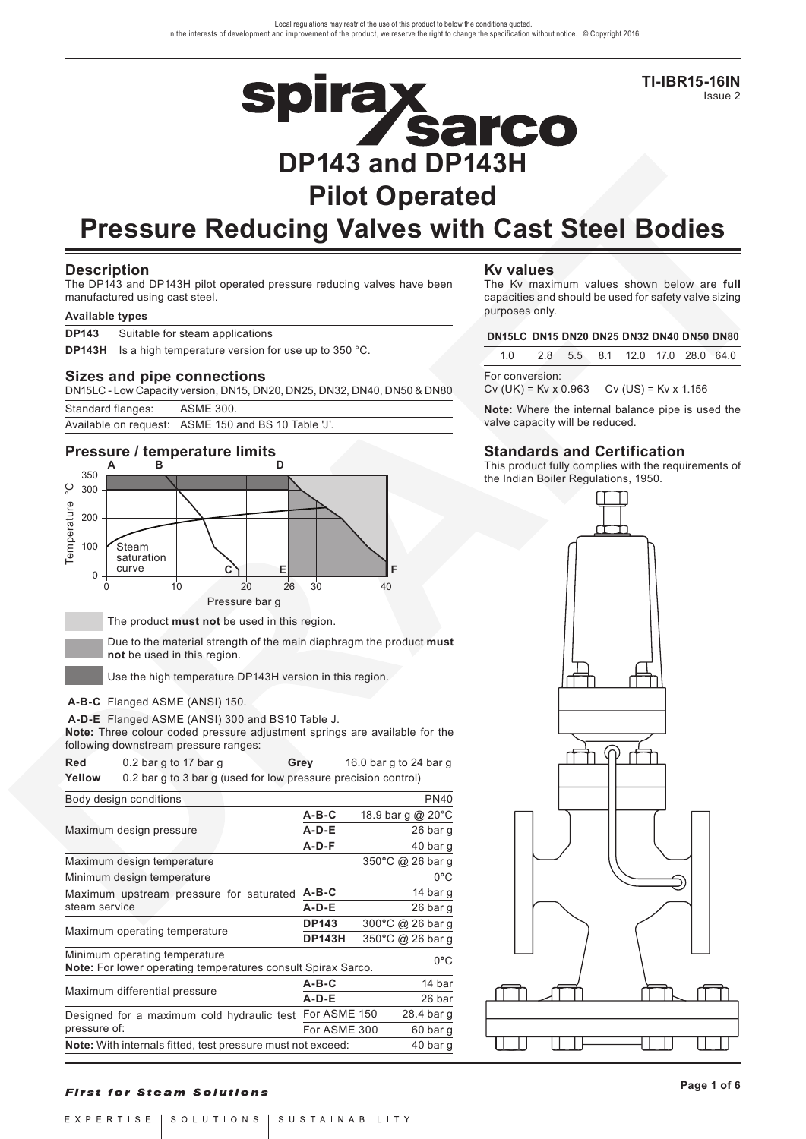**TI-IBR15-16IN** Issue 2

# **Spirax<br>DP143 and DP143H Pilot Operated**

# **Pressure Reducing Valves with Cast Steel Bodies**

# **Description**

The DP143 and DP143H pilot operated pressure reducing valves have been manufactured using cast steel.

#### **Available types**

|              | Sizes and pipe connections                                                  |  |
|--------------|-----------------------------------------------------------------------------|--|
|              | <b>DP143H</b> Is a high temperature version for use up to 350 $^{\circ}$ C. |  |
| <b>DP143</b> | Suitable for steam applications                                             |  |
|              |                                                                             |  |

DN15LC - Low Capacity version, DN15, DN20, DN25, DN32, DN40, DN50 & DN80

| Standard flanges: | <b>ASME 300.</b> |  |
|-------------------|------------------|--|
|                   |                  |  |

Available on request: ASME 150 and BS 10 Table 'J'.

# **Pressure / temperature limits**



Due to the material strength of the main diaphragm the product **must not** be used in this region.

Use the high temperature DP143H version in this region.

### **A-B-C** Flanged ASME (ANSI) 150.

**A-D-E** Flanged ASME (ANSI) 300 and BS10 Table J.

**Note:** Three colour coded pressure adjustment springs are available for the following downstream pressure ranges:

| Red                                        | 0.2 bar g to 17 bar g                                               | Grey          | 16.0 bar g to 24 bar g |                   |               |
|--------------------------------------------|---------------------------------------------------------------------|---------------|------------------------|-------------------|---------------|
| Yellow                                     | 0.2 bar g to 3 bar g (used for low pressure precision control)      |               |                        |                   |               |
|                                            | Body design conditions                                              |               |                        |                   | <b>PN40</b>   |
|                                            |                                                                     | $A-B-C$       |                        | 18.9 bar g @ 20°C |               |
|                                            | Maximum design pressure                                             | $A-D-E$       |                        |                   | 26 bar g      |
|                                            |                                                                     | $A-D-F$       |                        |                   | 40 bar g      |
|                                            | Maximum design temperature                                          |               |                        | 350°C @ 26 bar g  |               |
|                                            | Minimum design temperature                                          |               |                        |                   | 0°C           |
|                                            | Maximum upstream pressure for saturated                             | $A - B - C$   |                        |                   | 14 bar g      |
| steam service                              |                                                                     | $A-D-E$       |                        |                   | 26 bar g      |
|                                            |                                                                     | <b>DP143</b>  |                        | 300°C @ 26 bar g  |               |
|                                            | Maximum operating temperature                                       | <b>DP143H</b> |                        | 350°C @ 26 bar g  |               |
|                                            | Minimum operating temperature                                       |               |                        |                   | $0^{\circ}$ C |
|                                            | <b>Note:</b> For lower operating temperatures consult Spirax Sarco. |               |                        |                   |               |
|                                            | Maximum differential pressure                                       | $A - B - C$   |                        |                   | 14 bar        |
|                                            |                                                                     | $A-D-E$       |                        |                   | 26 bar        |
| Designed for a maximum cold hydraulic test |                                                                     | For ASME 150  |                        |                   | 28.4 bar g    |
| pressure of:                               |                                                                     | For ASME 300  |                        |                   | 60 bar g      |
|                                            | Note: With internals fitted, test pressure must not exceed:         |               |                        |                   | 40 bar g      |
|                                            |                                                                     |               |                        |                   |               |

# **Kv values**

The Kv maximum values shown below are **full** capacities and should be used for safety valve sizing purposes only.

| DN15LC DN15 DN20 DN25 DN32 DN40 DN50 DN80                                |  |                                 |  |  |
|--------------------------------------------------------------------------|--|---------------------------------|--|--|
| 1 N                                                                      |  | 2.8 5.5 8.1 12.0 17.0 28.0 64.0 |  |  |
| For conversion:<br>$CV(UK) = Kv \times 0.963$ $CV(US) = Kv \times 1.156$ |  |                                 |  |  |

**Note:** Where the internal balance pipe is used the valve capacity will be reduced.

# **Standards and Certification**

This product fully complies with the requirements of the Indian Boiler Regulations, 1950.



### **First for Steam Solutions**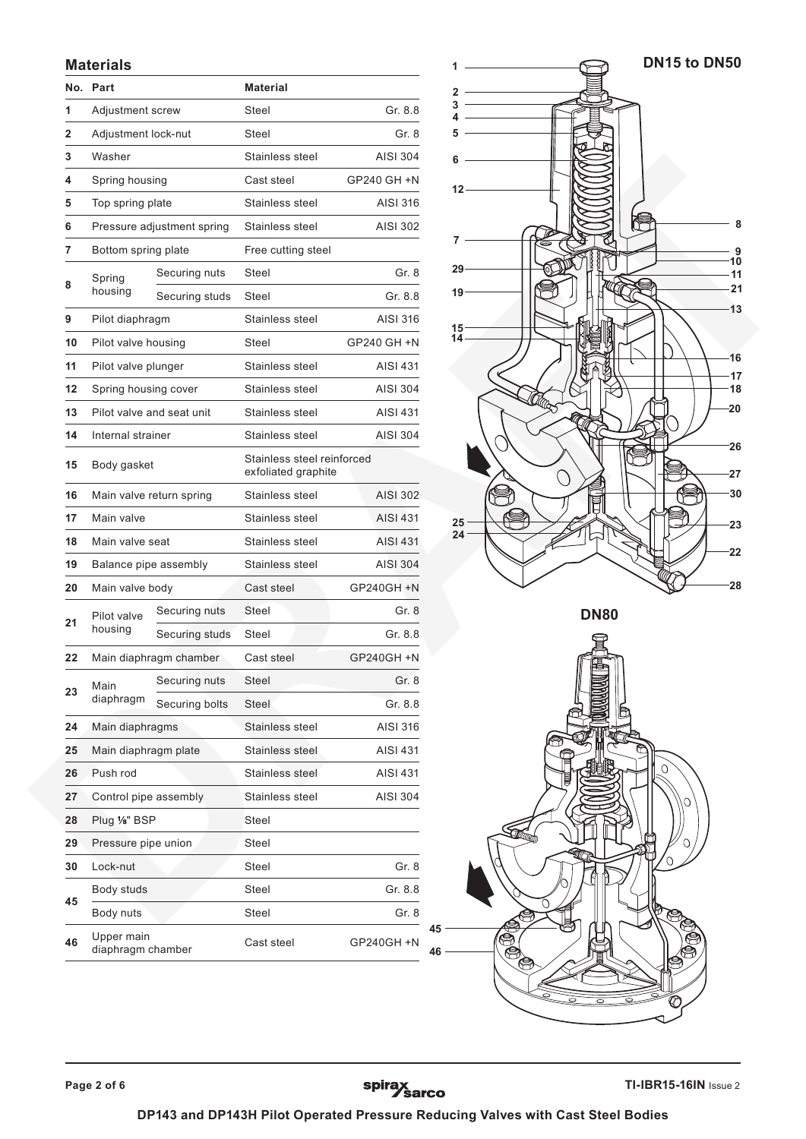# **Materials**

| No.          | Part                            |                            | <b>Material</b>                                   |                 |  |
|--------------|---------------------------------|----------------------------|---------------------------------------------------|-----------------|--|
| 1            | Adjustment screw                |                            | Steel                                             | Gr. 8.8         |  |
| 2            | Adjustment lock-nut             |                            | Steel                                             | Gr. 8           |  |
| 3            | Washer                          |                            | Stainless steel                                   | <b>AISI 304</b> |  |
| 4            | Spring housing                  |                            | Cast steel                                        | GP240 GH +N     |  |
| 5            | Top spring plate                |                            | Stainless steel                                   | AISI 316        |  |
| 6            |                                 | Pressure adjustment spring | Stainless steel                                   | AISI 302        |  |
| 7            | Bottom spring plate             |                            | Free cutting steel                                |                 |  |
|              | Spring                          | Securing nuts              | Steel                                             | Gr. 8           |  |
| 8<br>housing | Securing studs<br>Steel         |                            | Gr. 8.8                                           |                 |  |
| 9            | Pilot diaphragm                 |                            | Stainless steel                                   | AISI 316        |  |
| 10           | Pilot valve housing             |                            | Steel                                             | GP240 GH +N     |  |
| 11           | Pilot valve plunger             |                            | Stainless steel                                   | <b>AISI 431</b> |  |
| 12           | Spring housing cover            |                            | Stainless steel                                   | <b>AISI 304</b> |  |
| 13           |                                 | Pilot valve and seat unit  | Stainless steel                                   | <b>AISI 431</b> |  |
| 14           | Internal strainer               |                            | Stainless steel                                   | <b>AISI 304</b> |  |
| 15           | Body gasket                     |                            | Stainless steel reinforced<br>exfoliated graphite |                 |  |
| 16           | Main valve return spring        |                            | Stainless steel                                   | <b>AISI 302</b> |  |
| 17           | Main valve                      |                            | Stainless steel                                   | <b>AISI 431</b> |  |
| 18           | Main valve seat                 |                            | Stainless steel                                   | AISI 431        |  |
| 19           | Balance pipe assembly           |                            | Stainless steel                                   | <b>AISI 304</b> |  |
| 20           | Main valve body                 |                            | Cast steel                                        | GP240GH +N      |  |
| 21           | Pilot valve                     | Securing nuts              | <b>Steel</b>                                      | Gr. 8           |  |
|              | housing                         | Securing studs             | Steel                                             | Gr. 8.8         |  |
| 22           |                                 | Main diaphragm chamber     | Cast steel                                        | GP240GH +N      |  |
| 23           | Main                            | Securing nuts              | Steel                                             | Gr. 8           |  |
|              | diaphragm                       | Securing bolts             | <b>Steel</b>                                      | Gr. 8.8         |  |
| 24           | Main diaphragms                 |                            | Stainless steel                                   | AISI 316        |  |
| 25           | Main diaphragm plate            |                            | Stainless steel                                   | <b>AISI 431</b> |  |
| 26           | Push rod                        |                            | Stainless steel                                   | AISI 431        |  |
| 27           | Control pipe assembly           |                            | Stainless steel<br><b>AISI 304</b>                |                 |  |
| 28           | Plug 1/8" BSP                   |                            | Steel                                             |                 |  |
| 29           | Pressure pipe union             |                            | Steel                                             |                 |  |
| 30           | Lock-nut                        |                            | Steel                                             | Gr. 8           |  |
| 45           | Body studs                      |                            | Steel                                             | Gr. 8.8         |  |
|              | Body nuts                       |                            | Steel                                             | Gr. 8           |  |
| 46           | Upper main<br>diaphragm chamber |                            | Cast steel                                        | GP240GH +N      |  |



spirax<br>Sarco

Ò  $\mathbb{R}$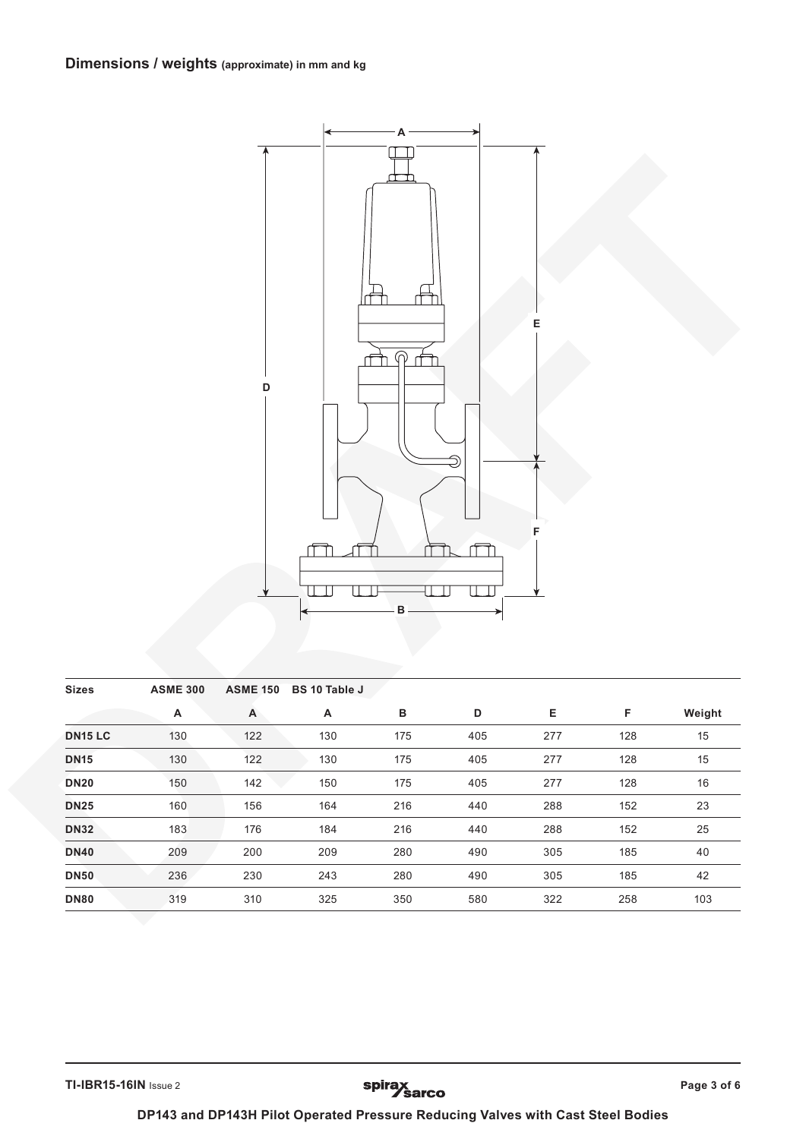

| <b>Sizes</b>   | <b>ASME 300</b> | <b>ASME 150</b> | <b>BS 10 Table J</b> |     |     |     |     |        |
|----------------|-----------------|-----------------|----------------------|-----|-----|-----|-----|--------|
|                | Α               | A               | Α                    | в   | D   | Е   | F   | Weight |
| <b>DN15 LC</b> | 130             | 122             | 130                  | 175 | 405 | 277 | 128 | 15     |
| <b>DN15</b>    | 130             | 122             | 130                  | 175 | 405 | 277 | 128 | 15     |
| <b>DN20</b>    | 150             | 142             | 150                  | 175 | 405 | 277 | 128 | 16     |
| <b>DN25</b>    | 160             | 156             | 164                  | 216 | 440 | 288 | 152 | 23     |
| <b>DN32</b>    | 183             | 176             | 184                  | 216 | 440 | 288 | 152 | 25     |
| <b>DN40</b>    | 209             | 200             | 209                  | 280 | 490 | 305 | 185 | 40     |
| <b>DN50</b>    | 236             | 230             | 243                  | 280 | 490 | 305 | 185 | 42     |
| <b>DN80</b>    | 319             | 310             | 325                  | 350 | 580 | 322 | 258 | 103    |

**TI-IBR15-16IN** Issue 2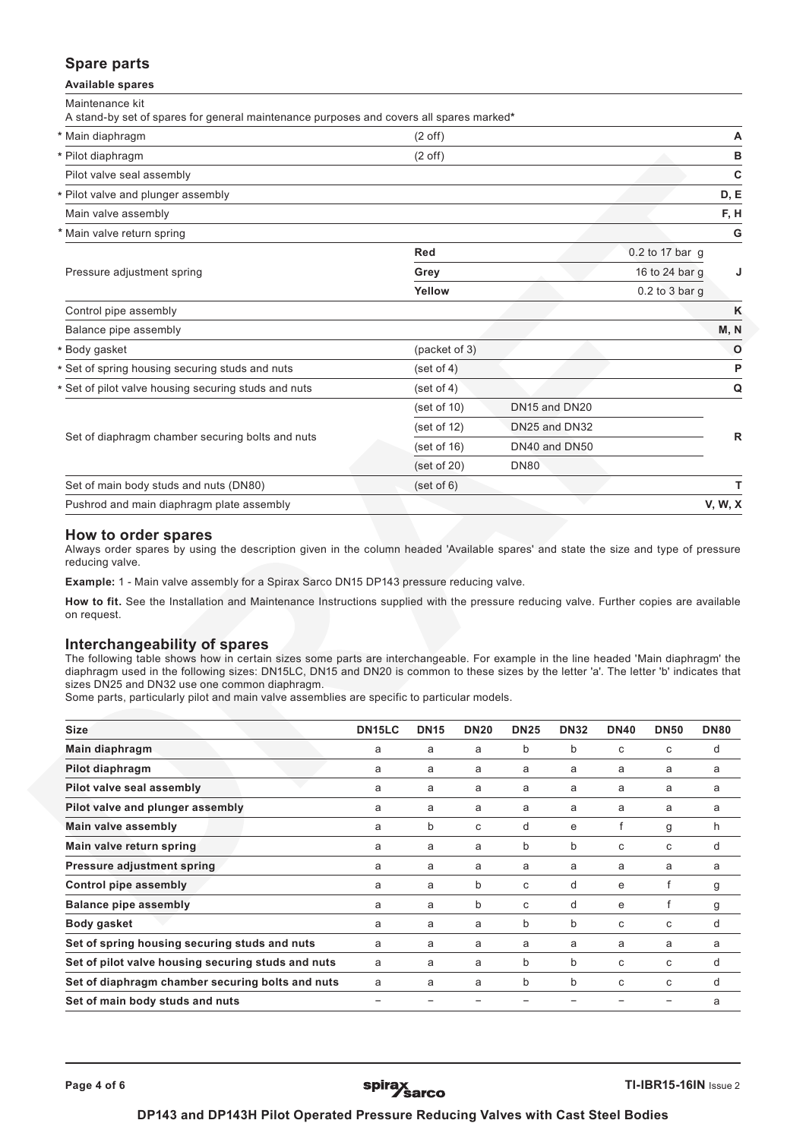# **Spare parts**

**Available spares**

Maintenance kit

| A stand-by set of spares for general maintenance purposes and covers all spares marked* |                   |                |                  |                |
|-----------------------------------------------------------------------------------------|-------------------|----------------|------------------|----------------|
| * Main diaphragm                                                                        | $(2 \text{ off})$ |                |                  | A              |
| * Pilot diaphragm                                                                       | $(2 \text{ off})$ |                |                  | в              |
| Pilot valve seal assembly                                                               |                   |                |                  | $\mathbf c$    |
| * Pilot valve and plunger assembly                                                      |                   |                |                  | D, E           |
| Main valve assembly                                                                     |                   |                |                  | F, H           |
| * Main valve return spring                                                              |                   |                |                  | G              |
|                                                                                         | <b>Red</b>        |                | 0.2 to 17 bar g  |                |
| Pressure adjustment spring                                                              | Grey              | 16 to 24 bar g | J                |                |
|                                                                                         | Yellow            |                | $0.2$ to 3 bar g |                |
| Control pipe assembly                                                                   |                   |                |                  | K              |
| Balance pipe assembly                                                                   |                   |                |                  | M, N           |
| * Body gasket                                                                           | (packet of 3)     |                |                  | $\circ$        |
| * Set of spring housing securing studs and nuts                                         | (set of 4)        |                |                  | P              |
| * Set of pilot valve housing securing studs and nuts                                    | (set of 4)        |                |                  | Q              |
|                                                                                         | (set of 10)       | DN15 and DN20  |                  |                |
| Set of diaphragm chamber securing bolts and nuts                                        | (set of 12)       | DN25 and DN32  |                  | $\mathsf{R}$   |
|                                                                                         | (set of 16)       | DN40 and DN50  |                  |                |
|                                                                                         | (set of 20)       | <b>DN80</b>    |                  |                |
| Set of main body studs and nuts (DN80)                                                  | (set of 6)        |                |                  | т              |
| Pushrod and main diaphragm plate assembly                                               |                   |                |                  | <b>V, W, X</b> |

# **How to order spares**

Ī

Always order spares by using the description given in the column headed 'Available spares' and state the size and type of pressure reducing valve.

**Example:** 1 - Main valve assembly for a Spirax Sarco DN15 DP143 pressure reducing valve.

**How to fit.** See the Installation and Maintenance Instructions supplied with the pressure reducing valve. Further copies are available on request.

# **Interchangeability of spares**

The following table shows how in certain sizes some parts are interchangeable. For example in the line headed 'Main diaphragm' the diaphragm used in the following sizes: DN15LC, DN15 and DN20 is common to these sizes by the letter 'a'. The letter 'b' indicates that sizes DN25 and DN32 use one common diaphragm.

Some parts, particularly pilot and main valve assemblies are specific to particular models.

| <b>Size</b>                                        | DN <sub>15</sub> LC | <b>DN15</b> | <b>DN20</b> | <b>DN25</b> | <b>DN32</b> | <b>DN40</b> | <b>DN50</b> | <b>DN80</b> |
|----------------------------------------------------|---------------------|-------------|-------------|-------------|-------------|-------------|-------------|-------------|
| Main diaphragm                                     | a                   | a           | a           | b           | b           | C           | C           | d           |
| Pilot diaphragm                                    | a                   | a           | a           | a           | a           | a           | a           | a           |
| Pilot valve seal assembly                          | a                   | a           | a           | a           | a           | a           | a           | a           |
| Pilot valve and plunger assembly                   | a                   | a           | a           | a           | a           | a           | a           | а           |
| Main valve assembly                                | a                   | b           | C           | d           | e           |             | g           | h           |
| Main valve return spring                           | a                   | a           | a           | b           | b           | C           | C           | d           |
| Pressure adjustment spring                         | a                   | a           | a           | a           | a           | a           | a           | a           |
| <b>Control pipe assembly</b>                       | a                   | a           | b           | C           | d           | e           |             | g           |
| <b>Balance pipe assembly</b>                       | a                   | a           | b           | C           | d           | e           |             | g           |
| Body gasket                                        | a                   | a           | a           | b           | b           | C           | C           | d           |
| Set of spring housing securing studs and nuts      | a                   | a           | a           | a           | a           | a           | a           | a           |
| Set of pilot valve housing securing studs and nuts | a                   | a           | a           | b           | b           | C           | C           | d           |
| Set of diaphragm chamber securing bolts and nuts   | a                   | a           | a           | b           | b           | C           | C           | d           |
| Set of main body studs and nuts                    |                     |             |             |             |             |             |             | a           |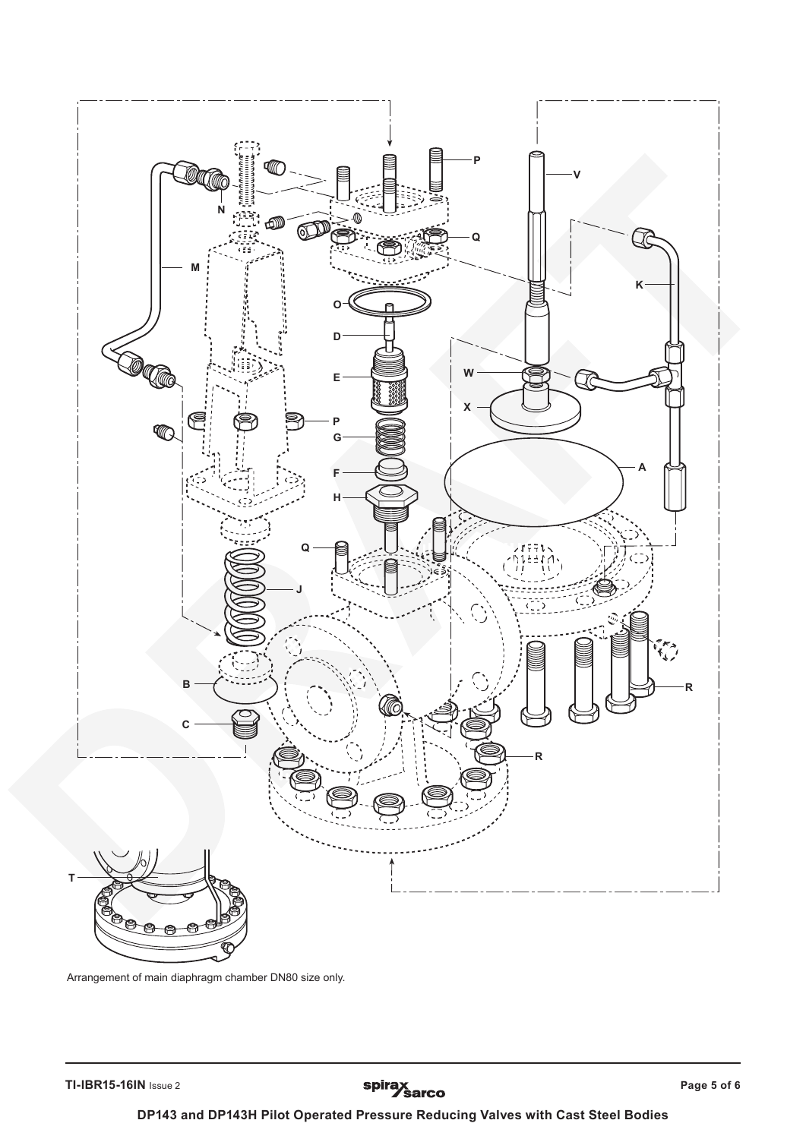

Arrangement of main diaphragm chamber DN80 size only.